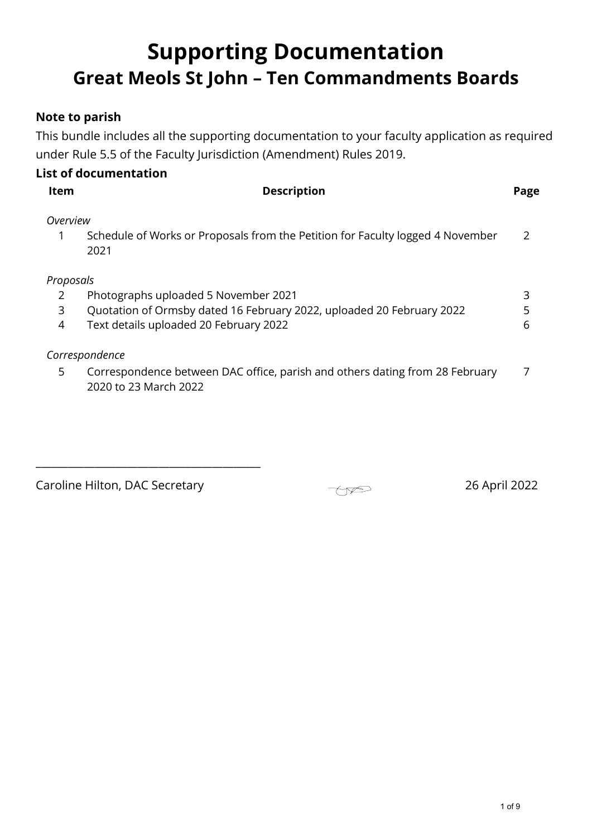# **Supporting Documentation Great Meols St John – Ten Commandments Boards**

### **Note to parish**

This bundle includes all the supporting documentation to your faculty application as required under Rule 5.5 of the Faculty Jurisdiction (Amendment) Rules 2019.

|  | <b>List of documentation</b> |
|--|------------------------------|
|  |                              |

| ltem                | <b>Description</b>                                                                                                                                      | Page   |
|---------------------|---------------------------------------------------------------------------------------------------------------------------------------------------------|--------|
| Overview            | Schedule of Works or Proposals from the Petition for Faculty logged 4 November<br>2021                                                                  |        |
| Proposals<br>3<br>4 | Photographs uploaded 5 November 2021<br>Quotation of Ormsby dated 16 February 2022, uploaded 20 February 2022<br>Text details uploaded 20 February 2022 | 3<br>6 |
| 5.                  | Correspondence<br>Correspondence between DAC office, parish and others dating from 28 February<br>2020 to 23 March 2022                                 |        |

Caroline Hilton, DAC Secretary 26 April 2022

\_\_\_\_\_\_\_\_\_\_\_\_\_\_\_\_\_\_\_\_\_\_\_\_\_\_\_\_\_\_\_\_\_\_\_\_\_\_\_\_\_\_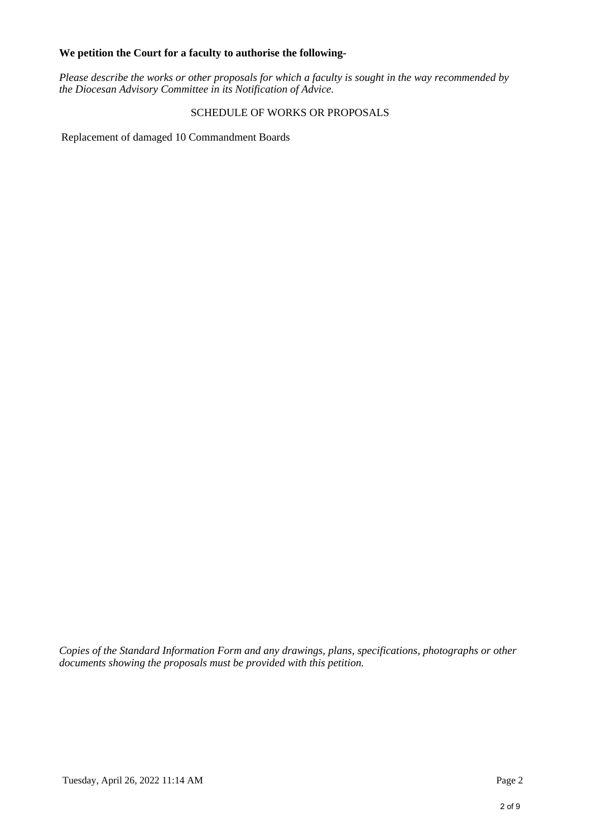#### **We petition the Court for a faculty to authorise the following-**

*Please describe the works or other proposals for which a faculty is sought in the way recommended by the Diocesan Advisory Committee in its Notification of Advice.*

#### SCHEDULE OF WORKS OR PROPOSALS

Replacement of damaged 10 Commandment Boards

*Copies of the Standard Information Form and any drawings, plans, specifications, photographs or other documents showing the proposals must be provided with this petition.*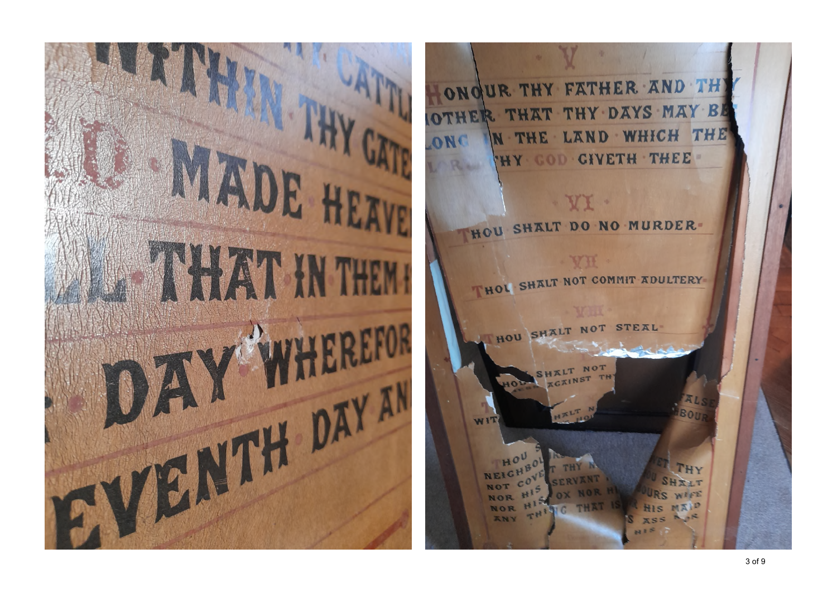

UR THY FATHER AND TH ONO THAT THY DAYS MAY B N THE LAND WHICH THE HY COD CIVETH THEE-HOU SHALT DO NO MURDER-VH THOL SHALT NOT COMMIT ADULTERY HOU SHALT NOT STEAL B∩i WIT THY THY SHILT WIFE NOR MIND **NOR** ١G  $T_{H_1}$ **XNY**  $-15$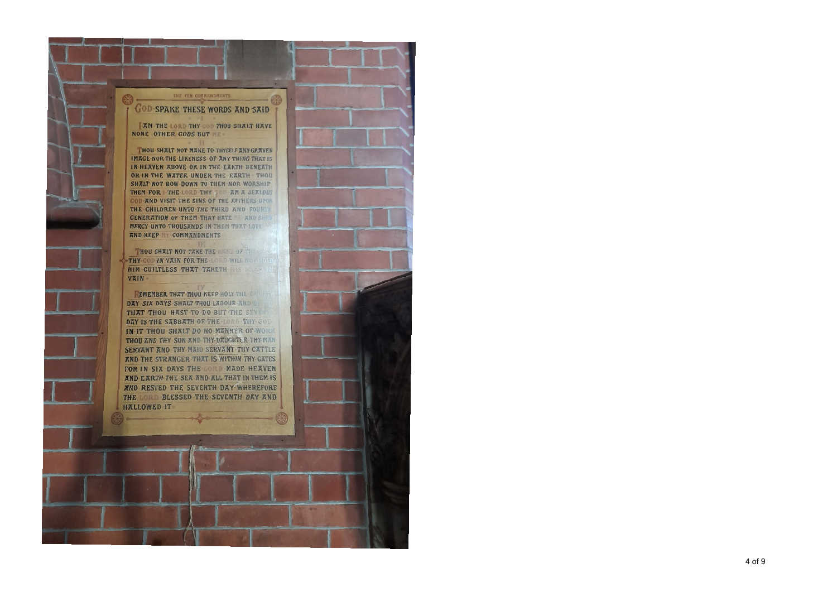#### THE TEN CONNANDMENTS

## **COD SPAKE THESE WORDS AND SAID**

**AM THE LORD THY COD THOU SHALT HAVE** NONE OTHER CODS BUT

THOU SHALT NOT MAKE TO THYSELF ANY GRAVEN IMAGE NOR. THE LIKENESS OF ANY THING THAT IS IN HEAVEN ABOVE OR IN THE EARTH BENEATH OR IN THE WATER UNDER THE EARTH THOU SHALT NOT BOW DOWN TO THEM NOR WORSHIP THEM FOR THE LORD THY TOP AM A JEALOUS **GOD AND VISIT THE SINS OF THE FATHERS UPON** THE CHILDREN UNTO THE THIRD AND FOURTH **GENERATION OF THEM THAT HATE AND SEE** MERCY UNTO THOUSANDS IN THEM THAT LOVE AND KEEP COMMANDMENTS

THOU SHALT NOT TAKE THE NATHER OF THE THY-COD IN VAIN FOR THE LORD WILL NOT THE HIM -GUILTLESS THAT TAKETH ESSEN VAIN-

REMEMBER THAT THOU KEEP HOLY THE SALE DAY SIX DAYS SHALT THOU LABOUR AND DE THAT THOU HAST TO DO BUT THE SEVEN DAY IS THE SABBATH OF THE · LORD THY GOD **IN IT THOU SHALT DO NO MANNER OF WORK** THOU AND THY SON AND THY DAUGHTER THY MAN SERVANT AND THY MAID SERVANT THY CATTLE AND THE STRANGER THAT IS WITHIN THY GATES FOR IN SIX DAYS THE LORD MADE HEAVEN AND EARTH THE SEA AND ALL THAT IN THEM IS AND RESTED THE SEVENTH DAY WHEREFORE THE LORD BLESSED THE SEVENTH DAY AND HALLOWED IT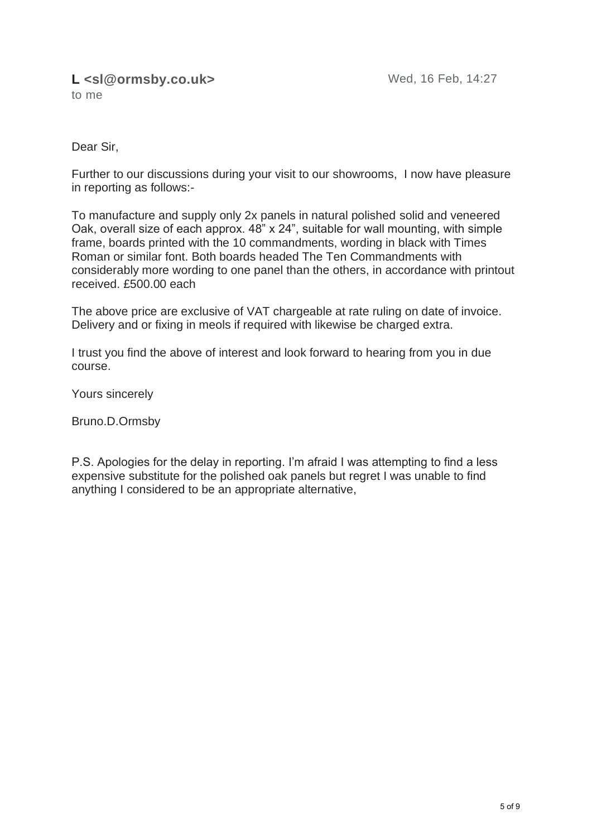#### **L <sl@ormsby.co.uk>** Wed, 16 Feb, 14:27 to me

Dear Sir,

Further to our discussions during your visit to our showrooms, I now have pleasure in reporting as follows:-

To manufacture and supply only 2x panels in natural polished solid and veneered Oak, overall size of each approx. 48" x 24", suitable for wall mounting, with simple frame, boards printed with the 10 commandments, wording in black with Times Roman or similar font. Both boards headed The Ten Commandments with considerably more wording to one panel than the others, in accordance with printout received. £500.00 each

The above price are exclusive of VAT chargeable at rate ruling on date of invoice. Delivery and or fixing in meols if required with likewise be charged extra.

I trust you find the above of interest and look forward to hearing from you in due course.

Yours sincerely

Bruno.D.Ormsby

P.S. Apologies for the delay in reporting. I'm afraid I was attempting to find a less expensive substitute for the polished oak panels but regret I was unable to find anything I considered to be an appropriate alternative,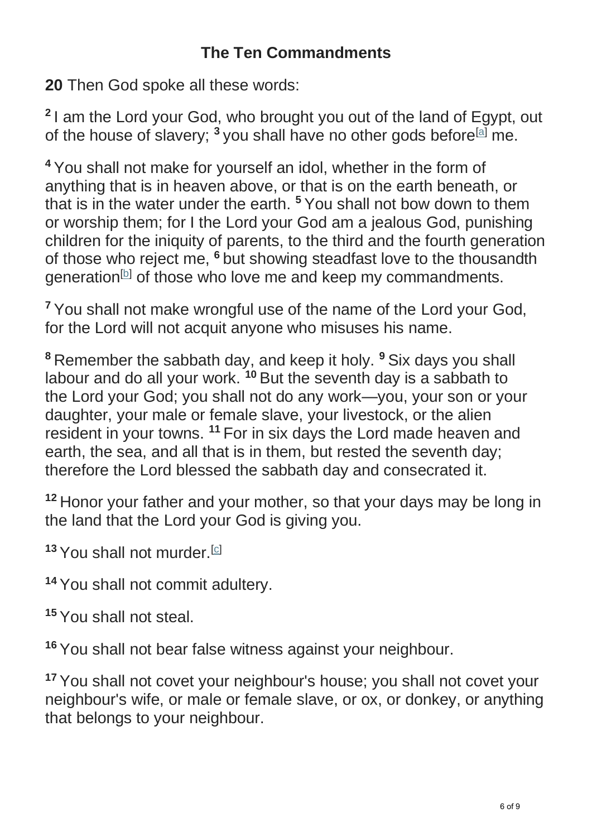**20** Then God spoke all these words:

**2** I am the Lord your God, who brought you out of the land of Egypt, out of the house of slavery;  $3$  you shall have no other gods before<sup>[\[a\]](https://www.biblegateway.com/passage/?search=Exodus%2020&version=NRSV#fen-NRSV-2055a)</sup> me.

**<sup>4</sup>** You shall not make for yourself an idol, whether in the form of anything that is in heaven above, or that is on the earth beneath, or that is in the water under the earth. **<sup>5</sup>** You shall not bow down to them or worship them; for I the Lord your God am a jealous God, punishing children for the iniquity of parents, to the third and the fourth generation of those who reject me, **<sup>6</sup>** but showing steadfast love to the thousandth generation<sup>[\[b\]](https://www.biblegateway.com/passage/?search=Exodus%2020&version=NRSV#fen-NRSV-2058b)</sup> of those who love me and keep my commandments.

**<sup>7</sup>** You shall not make wrongful use of the name of the Lord your God, for the Lord will not acquit anyone who misuses his name.

**<sup>8</sup>** Remember the sabbath day, and keep it holy. **<sup>9</sup>** Six days you shall labour and do all your work. **<sup>10</sup>** But the seventh day is a sabbath to the Lord your God; you shall not do any work—you, your son or your daughter, your male or female slave, your livestock, or the alien resident in your towns. **<sup>11</sup>** For in six days the Lord made heaven and earth, the sea, and all that is in them, but rested the seventh day; therefore the Lord blessed the sabbath day and consecrated it.

**<sup>12</sup>** Honor your father and your mother, so that your days may be long in the land that the Lord your God is giving you.

13 You shall not murder.<sup>[\[c\]](https://www.biblegateway.com/passage/?search=Exodus%2020&version=NRSV#fen-NRSV-2065c)</sup>

**<sup>14</sup>** You shall not commit adultery.

**<sup>15</sup>** You shall not steal.

**<sup>16</sup>** You shall not bear false witness against your neighbour.

**<sup>17</sup>** You shall not covet your neighbour's house; you shall not covet your neighbour's wife, or male or female slave, or ox, or donkey, or anything that belongs to your neighbour.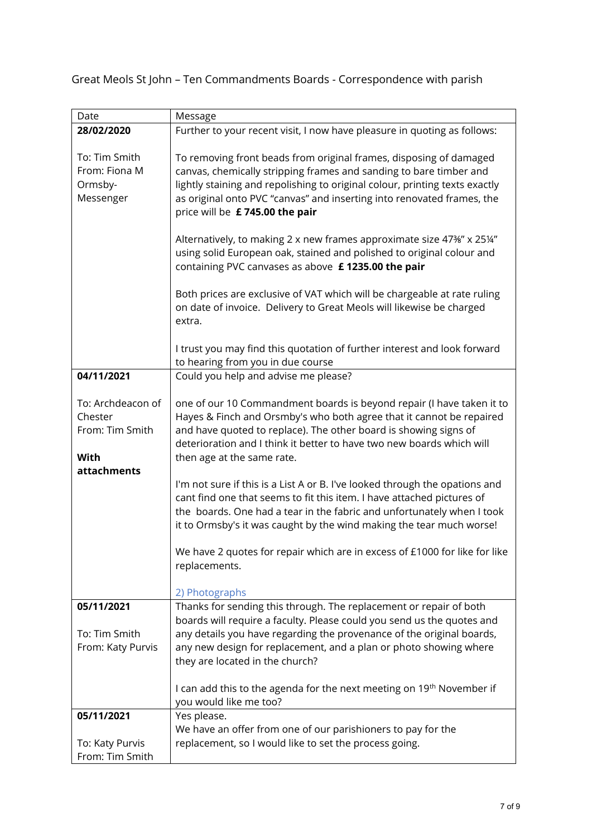Great Meols St John – Ten Commandments Boards - Correspondence with parish

| Date              | Message                                                                     |
|-------------------|-----------------------------------------------------------------------------|
| 28/02/2020        | Further to your recent visit, I now have pleasure in quoting as follows:    |
|                   |                                                                             |
| To: Tim Smith     | To removing front beads from original frames, disposing of damaged          |
| From: Fiona M     | canvas, chemically stripping frames and sanding to bare timber and          |
| Ormsby-           | lightly staining and repolishing to original colour, printing texts exactly |
| Messenger         | as original onto PVC "canvas" and inserting into renovated frames, the      |
|                   | price will be £745.00 the pair                                              |
|                   |                                                                             |
|                   | Alternatively, to making 2 x new frames approximate size 47%" x 25%"        |
|                   | using solid European oak, stained and polished to original colour and       |
|                   | containing PVC canvases as above £1235.00 the pair                          |
|                   |                                                                             |
|                   | Both prices are exclusive of VAT which will be chargeable at rate ruling    |
|                   | on date of invoice. Delivery to Great Meols will likewise be charged        |
|                   | extra.                                                                      |
|                   |                                                                             |
|                   | I trust you may find this quotation of further interest and look forward    |
|                   | to hearing from you in due course                                           |
| 04/11/2021        | Could you help and advise me please?                                        |
|                   |                                                                             |
| To: Archdeacon of | one of our 10 Commandment boards is beyond repair (I have taken it to       |
| Chester           | Hayes & Finch and Orsmby's who both agree that it cannot be repaired        |
| From: Tim Smith   | and have quoted to replace). The other board is showing signs of            |
|                   | deterioration and I think it better to have two new boards which will       |
| With              | then age at the same rate.                                                  |
| attachments       |                                                                             |
|                   | I'm not sure if this is a List A or B. I've looked through the opations and |
|                   | cant find one that seems to fit this item. I have attached pictures of      |
|                   | the boards. One had a tear in the fabric and unfortunately when I took      |
|                   | it to Ormsby's it was caught by the wind making the tear much worse!        |
|                   |                                                                             |
|                   | We have 2 quotes for repair which are in excess of £1000 for like for like  |
|                   | replacements.                                                               |
|                   |                                                                             |
|                   | 2) Photographs                                                              |
| 05/11/2021        | Thanks for sending this through. The replacement or repair of both          |
|                   | boards will require a faculty. Please could you send us the quotes and      |
| To: Tim Smith     | any details you have regarding the provenance of the original boards,       |
| From: Katy Purvis | any new design for replacement, and a plan or photo showing where           |
|                   | they are located in the church?                                             |
|                   |                                                                             |
|                   | I can add this to the agenda for the next meeting on 19th November if       |
|                   | you would like me too?                                                      |
| 05/11/2021        | Yes please.                                                                 |
|                   | We have an offer from one of our parishioners to pay for the                |
| To: Katy Purvis   | replacement, so I would like to set the process going.                      |
| From: Tim Smith   |                                                                             |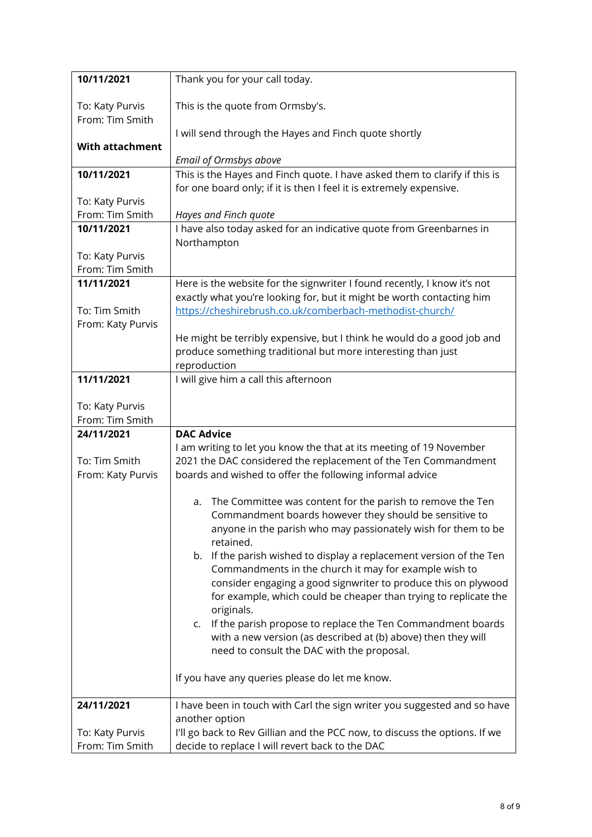| 10/11/2021                         | Thank you for your call today.                                                                                                                                                           |
|------------------------------------|------------------------------------------------------------------------------------------------------------------------------------------------------------------------------------------|
| To: Katy Purvis<br>From: Tim Smith | This is the quote from Ormsby's.                                                                                                                                                         |
|                                    | I will send through the Hayes and Finch quote shortly                                                                                                                                    |
| <b>With attachment</b>             |                                                                                                                                                                                          |
|                                    | Email of Ormsbys above                                                                                                                                                                   |
| 10/11/2021                         | This is the Hayes and Finch quote. I have asked them to clarify if this is                                                                                                               |
| To: Katy Purvis                    | for one board only; if it is then I feel it is extremely expensive.                                                                                                                      |
| From: Tim Smith                    | Hayes and Finch quote                                                                                                                                                                    |
| 10/11/2021                         | I have also today asked for an indicative quote from Greenbarnes in                                                                                                                      |
|                                    | Northampton                                                                                                                                                                              |
| To: Katy Purvis                    |                                                                                                                                                                                          |
| From: Tim Smith                    |                                                                                                                                                                                          |
| 11/11/2021                         | Here is the website for the signwriter I found recently, I know it's not                                                                                                                 |
|                                    | exactly what you're looking for, but it might be worth contacting him                                                                                                                    |
| To: Tim Smith                      | https://cheshirebrush.co.uk/comberbach-methodist-church/                                                                                                                                 |
| From: Katy Purvis                  |                                                                                                                                                                                          |
|                                    | He might be terribly expensive, but I think he would do a good job and<br>produce something traditional but more interesting than just                                                   |
|                                    | reproduction                                                                                                                                                                             |
| 11/11/2021                         | I will give him a call this afternoon                                                                                                                                                    |
|                                    |                                                                                                                                                                                          |
| To: Katy Purvis                    |                                                                                                                                                                                          |
| From: Tim Smith                    |                                                                                                                                                                                          |
| 24/11/2021                         | <b>DAC Advice</b>                                                                                                                                                                        |
|                                    | I am writing to let you know the that at its meeting of 19 November                                                                                                                      |
| To: Tim Smith<br>From: Katy Purvis | 2021 the DAC considered the replacement of the Ten Commandment<br>boards and wished to offer the following informal advice                                                               |
|                                    |                                                                                                                                                                                          |
|                                    | a. The Committee was content for the parish to remove the Ten<br>Commandment boards however they should be sensitive to<br>anyone in the parish who may passionately wish for them to be |
|                                    | retained.                                                                                                                                                                                |
|                                    | b. If the parish wished to display a replacement version of the Ten                                                                                                                      |
|                                    | Commandments in the church it may for example wish to<br>consider engaging a good signwriter to produce this on plywood                                                                  |
|                                    | for example, which could be cheaper than trying to replicate the                                                                                                                         |
|                                    | originals.                                                                                                                                                                               |
|                                    | c. If the parish propose to replace the Ten Commandment boards                                                                                                                           |
|                                    | with a new version (as described at (b) above) then they will                                                                                                                            |
|                                    | need to consult the DAC with the proposal.                                                                                                                                               |
|                                    |                                                                                                                                                                                          |
|                                    | If you have any queries please do let me know.                                                                                                                                           |
| 24/11/2021                         | I have been in touch with Carl the sign writer you suggested and so have                                                                                                                 |
|                                    |                                                                                                                                                                                          |
|                                    | another option                                                                                                                                                                           |
| To: Katy Purvis<br>From: Tim Smith | I'll go back to Rev Gillian and the PCC now, to discuss the options. If we<br>decide to replace I will revert back to the DAC                                                            |